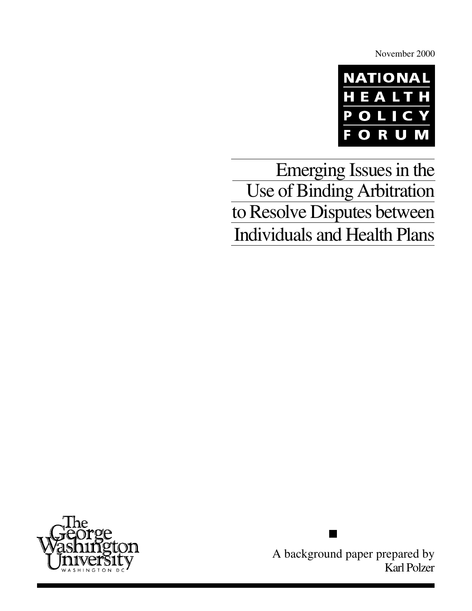November 2000



Emerging Issues in the Use of Binding Arbitration to Resolve Disputes between Individuals and Health Plans



A background paper prepared by Karl Polzer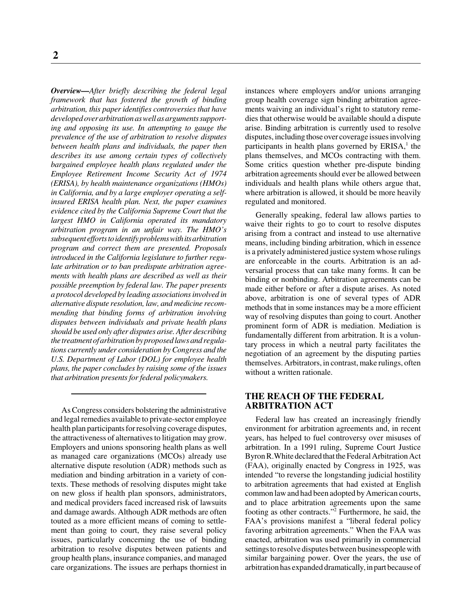*Overview—After briefly describing the federal legal framework that has fostered the growth of binding arbitration, this paper identifies controversies that have developed over arbitration as well as arguments supporting and opposing its use. In attempting to gauge the prevalence of the use of arbitration to resolve disputes between health plans and individuals, the paper then describes its use among certain types of collectively bargained employee health plans regulated under the Employee Retirement Income Security Act of 1974 (ERISA), by health maintenance organizations (HMOs) in California, and by a large employer operating a selfinsured ERISA health plan. Next, the paper examines evidence cited by the California Supreme Court that the largest HMO in California operated its mandatory arbitration program in an unfair way. The HMO's subsequent efforts to identify problems with its arbitration program and correct them are presented. Proposals introduced in the California legislature to further regulate arbitration or to ban predispute arbitration agreements with health plans are described as well as their possible preemption by federal law. The paper presents a protocol developed by leading associations involved in alternative dispute resolution, law, and medicine recommending that binding forms of arbitration involving disputes between individuals and private health plans should be used only after disputes arise. After describing the treatment of arbitration by proposed laws and regulations currently under consideration by Congress and the U.S. Department of Labor (DOL) for employee health plans, the paper concludes by raising some of the issues that arbitration presents for federal policymakers.*

As Congress considers bolstering the administrative and legal remedies available to private-sector employee health plan participants for resolving coverage disputes, the attractiveness of alternatives to litigation may grow. Employers and unions sponsoring health plans as well as managed care organizations (MCOs) already use alternative dispute resolution (ADR) methods such as mediation and binding arbitration in a variety of contexts. These methods of resolving disputes might take on new gloss if health plan sponsors, administrators, and medical providers faced increased risk of lawsuits and damage awards. Although ADR methods are often touted as a more efficient means of coming to settlement than going to court, they raise several policy issues, particularly concerning the use of binding arbitration to resolve disputes between patients and group health plans, insurance companies, and managed care organizations. The issues are perhaps thorniest in instances where employers and/or unions arranging group health coverage sign binding arbitration agreements waiving an individual's right to statutory remedies that otherwise would be available should a dispute arise. Binding arbitration is currently used to resolve disputes, including those over coverage issues involving participants in health plans governed by  $ERISA$ ,<sup>1</sup> the plans themselves, and MCOs contracting with them. Some critics question whether pre-dispute binding arbitration agreements should ever be allowed between individuals and health plans while others argue that, where arbitration is allowed, it should be more heavily regulated and monitored.

Generally speaking, federal law allows parties to waive their rights to go to court to resolve disputes arising from a contract and instead to use alternative means, including binding arbitration, which in essence is a privately administered justice system whose rulings are enforceable in the courts. Arbitration is an adversarial process that can take many forms. It can be binding or nonbinding. Arbitration agreements can be made either before or after a dispute arises. As noted above, arbitration is one of several types of ADR methods that in some instances may be a more efficient way of resolving disputes than going to court. Another prominent form of ADR is mediation. Mediation is fundamentally different from arbitration. It is a voluntary process in which a neutral party facilitates the negotiation of an agreement by the disputing parties themselves. Arbitrators, in contrast, make rulings, often without a written rationale.

# **THE REACH OF THE FEDERAL ARBITRATION ACT**

Federal law has created an increasingly friendly environment for arbitration agreements and, in recent years, has helped to fuel controversy over misuses of arbitration. In a 1991 ruling, Supreme Court Justice Byron R.White declared that the Federal Arbitration Act (FAA), originally enacted by Congress in 1925, was intended "to reverse the longstanding judicial hostility to arbitration agreements that had existed at English common law and had been adopted by American courts, and to place arbitration agreements upon the same footing as other contracts."2 Furthermore, he said, the FAA's provisions manifest a "liberal federal policy favoring arbitration agreements." When the FAA was enacted, arbitration was used primarily in commercial settings to resolve disputes between businesspeople with similar bargaining power. Over the years, the use of arbitration has expanded dramatically, in part because of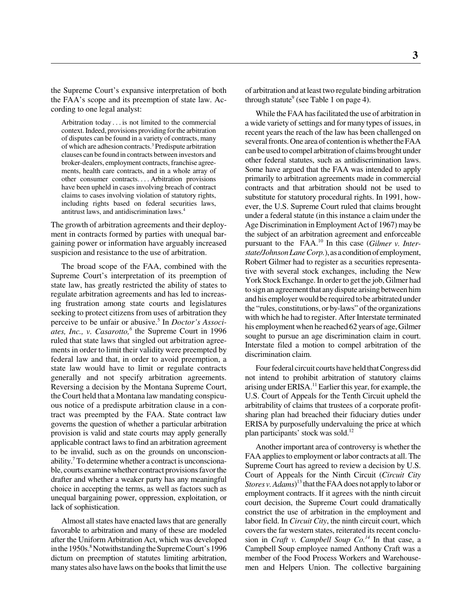the Supreme Court's expansive interpretation of both the FAA's scope and its preemption of state law. According to one legal analyst:

Arbitration today . . . is not limited to the commercial context. Indeed, provisions providing for the arbitration of disputes can be found in a variety of contracts, many of which are adhesion contracts.3 Predispute arbitration clauses can be found in contracts between investors and broker-dealers, employment contracts, franchise agreements, health care contracts, and in a whole array of other consumer contracts. . . . Arbitration provisions have been upheld in cases involving breach of contract claims to cases involving violation of statutory rights, including rights based on federal securities laws, antitrust laws, and antidiscrimination laws.4

The growth of arbitration agreements and their deployment in contracts formed by parties with unequal bargaining power or information have arguably increased suspicion and resistance to the use of arbitration.

The broad scope of the FAA, combined with the Supreme Court's interpretation of its preemption of state law, has greatly restricted the ability of states to regulate arbitration agreements and has led to increasing frustration among state courts and legislatures seeking to protect citizens from uses of arbitration they perceive to be unfair or abusive.<sup>5</sup> In *Doctor's Associ*ates, Inc., v. Casarotto,<sup>6</sup> the Supreme Court in 1996 ruled that state laws that singled out arbitration agreements in order to limit their validity were preempted by federal law and that, in order to avoid preemption, a state law would have to limit or regulate contracts generally and not specify arbitration agreements. Reversing a decision by the Montana Supreme Court, the Court held that a Montana law mandating conspicuous notice of a predispute arbitration clause in a contract was preempted by the FAA. State contract law governs the question of whether a particular arbitration provision is valid and state courts may apply generally applicable contract laws to find an arbitration agreement to be invalid, such as on the grounds on unconscionability.<sup>7</sup> To determine whether a contract is unconscionable, courts examine whether contract provisions favor the drafter and whether a weaker party has any meaningful choice in accepting the terms, as well as factors such as unequal bargaining power, oppression, exploitation, or lack of sophistication.

Almost all states have enacted laws that are generally favorable to arbitration and many of these are modeled after the Uniform Arbitration Act, which was developed in the 1950s.<sup>8</sup> Notwithstanding the Supreme Court's 1996 dictum on preemption of statutes limiting arbitration, many states also have laws on the books that limit the use of arbitration and at least two regulate binding arbitration through statute<sup>9</sup> (see Table 1 on page 4).

While the FAA has facilitated the use of arbitration in a wide variety of settings and for many types of issues, in recent years the reach of the law has been challenged on several fronts. One area of contention is whether the FAA can be used to compel arbitration of claims brought under other federal statutes, such as antidiscrimination laws. Some have argued that the FAA was intended to apply primarily to arbitration agreements made in commercial contracts and that arbitration should not be used to substitute for statutory procedural rights. In 1991, however, the U.S. Supreme Court ruled that claims brought under a federal statute (in this instance a claim under the Age Discrimination in Employment Act of 1967) may be the subject of an arbitration agreement and enforceable pursuant to the FAA.10 In this case (*Gilmer v. Interstate/Johnson Lane Corp.*), as a condition of employment, Robert Gilmer had to register as a securities representative with several stock exchanges, including the New York Stock Exchange. In order to get the job, Gilmer had to sign an agreement that any dispute arising between him and his employer would be required to be arbitrated under the "rules, constitutions, or by-laws" of the organizations with which he had to register. After Interstate terminated his employment when he reached 62 years of age, Gilmer sought to pursue an age discrimination claim in court. Interstate filed a motion to compel arbitration of the discrimination claim.

Four federal circuit courts have held that Congress did not intend to prohibit arbitration of statutory claims arising under ERISA.<sup>11</sup> Earlier this year, for example, the U.S. Court of Appeals for the Tenth Circuit upheld the arbitrability of claims that trustees of a corporate profitsharing plan had breached their fiduciary duties under ERISA by purposefully undervaluing the price at which plan participants' stock was sold.12

Another important area of controversy is whether the FAA applies to employment or labor contracts at all. The Supreme Court has agreed to review a decision by U.S. Court of Appeals for the Ninth Circuit (*Circuit City Stores v. Adams*) 13 that the FAA does not apply to labor or employment contracts. If it agrees with the ninth circuit court decision, the Supreme Court could dramatically constrict the use of arbitration in the employment and labor field. In *Circuit City*, the ninth circuit court, which covers the far western states, reiterated its recent conclusion in *Craft v. Campbell Soup Co.<sup>14</sup>* In that case, a Campbell Soup employee named Anthony Craft was a member of the Food Process Workers and Warehousemen and Helpers Union. The collective bargaining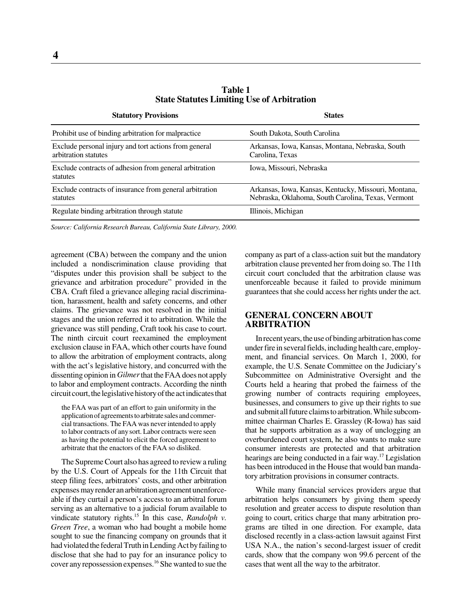| <b>Statutory Provisions</b>                                                   | <b>States</b>                                                                                              |
|-------------------------------------------------------------------------------|------------------------------------------------------------------------------------------------------------|
| Prohibit use of binding arbitration for malpractice                           | South Dakota, South Carolina                                                                               |
| Exclude personal injury and tort actions from general<br>arbitration statutes | Arkansas, Iowa, Kansas, Montana, Nebraska, South<br>Carolina, Texas                                        |
| Exclude contracts of adhesion from general arbitration<br>statutes            | Iowa, Missouri, Nebraska                                                                                   |
| Exclude contracts of insurance from general arbitration<br>statutes           | Arkansas, Iowa, Kansas, Kentucky, Missouri, Montana,<br>Nebraska, Oklahoma, South Carolina, Texas, Vermont |
| Regulate binding arbitration through statute                                  | Illinois, Michigan                                                                                         |

**Table 1 State Statutes Limiting Use of Arbitration**

*Source: California Research Bureau, California State Library, 2000.*

agreement (CBA) between the company and the union included a nondiscrimination clause providing that "disputes under this provision shall be subject to the grievance and arbitration procedure" provided in the CBA. Craft filed a grievance alleging racial discrimination, harassment, health and safety concerns, and other claims. The grievance was not resolved in the initial stages and the union referred it to arbitration. While the grievance was still pending, Craft took his case to court. The ninth circuit court reexamined the employment exclusion clause in FAA, which other courts have found to allow the arbitration of employment contracts, along with the act's legislative history, and concurred with the dissenting opinion in *Gilmer* that the FAA does not apply to labor and employment contracts. According the ninth circuit court, the legislative history of the act indicates that

the FAA was part of an effort to gain uniformity in the application of agreements to arbitrate sales and commercial transactions. The FAA was never intended to apply to labor contracts of any sort. Labor contracts were seen as having the potential to elicit the forced agreement to arbitrate that the enactors of the FAA so disliked.

The Supreme Court also has agreed to review a ruling by the U.S. Court of Appeals for the 11th Circuit that steep filing fees, arbitrators' costs, and other arbitration expenses may render an arbitration agreement unenforceable if they curtail a person's access to an arbitral forum serving as an alternative to a judicial forum available to vindicate statutory rights.15 In this case, *Randolph v. Green Tree*, a woman who had bought a mobile home sought to sue the financing company on grounds that it had violated the federal Truth in Lending Act by failing to disclose that she had to pay for an insurance policy to cover any repossession expenses.16 She wanted to sue the company as part of a class-action suit but the mandatory arbitration clause prevented her from doing so. The 11th circuit court concluded that the arbitration clause was unenforceable because it failed to provide minimum guarantees that she could access her rights under the act.

# **GENERAL CONCERN ABOUT ARBITRATION**

In recent years, the use of binding arbitration has come under fire in several fields, including health care, employment, and financial services. On March 1, 2000, for example, the U.S. Senate Committee on the Judiciary's Subcommittee on Administrative Oversight and the Courts held a hearing that probed the fairness of the growing number of contracts requiring employees, businesses, and consumers to give up their rights to sue and submit all future claims to arbitration. While subcommittee chairman Charles E. Grassley (R-Iowa) has said that he supports arbitration as a way of unclogging an overburdened court system, he also wants to make sure consumer interests are protected and that arbitration hearings are being conducted in a fair way.<sup>17</sup> Legislation has been introduced in the House that would ban mandatory arbitration provisions in consumer contracts.

While many financial services providers argue that arbitration helps consumers by giving them speedy resolution and greater access to dispute resolution than going to court, critics charge that many arbitration programs are tilted in one direction. For example, data disclosed recently in a class-action lawsuit against First USA N.A., the nation's second-largest issuer of credit cards, show that the company won 99.6 percent of the cases that went all the way to the arbitrator.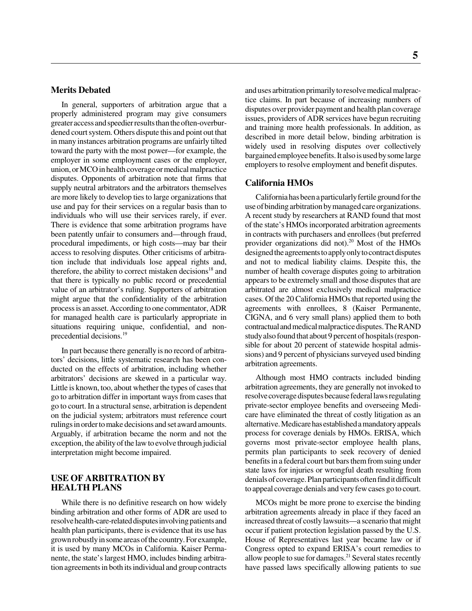# **Merits Debated**

In general, supporters of arbitration argue that a properly administered program may give consumers greater access and speedier results than the often-overburdened court system. Others dispute this and point out that in many instances arbitration programs are unfairly tilted toward the party with the most power—for example, the employer in some employment cases or the employer, union, or MCO in health coverage or medical malpractice disputes. Opponents of arbitration note that firms that supply neutral arbitrators and the arbitrators themselves are more likely to develop ties to large organizations that use and pay for their services on a regular basis than to individuals who will use their services rarely, if ever. There is evidence that some arbitration programs have been patently unfair to consumers and—through fraud, procedural impediments, or high costs—may bar their access to resolving disputes. Other criticisms of arbitration include that individuals lose appeal rights and, therefore, the ability to correct mistaken decisions<sup>18</sup> and that there is typically no public record or precedential value of an arbitrator's ruling. Supporters of arbitration might argue that the confidentiality of the arbitration process is an asset. According to one commentator, ADR for managed health care is particularly appropriate in situations requiring unique, confidential, and nonprecedential decisions.19

In part because there generally is no record of arbitrators' decisions, little systematic research has been conducted on the effects of arbitration, including whether arbitrators' decisions are skewed in a particular way. Little is known, too, about whether the types of cases that go to arbitration differ in important ways from cases that go to court. In a structural sense, arbitration is dependent on the judicial system; arbitrators must reference court rulings in order to make decisions and set award amounts. Arguably, if arbitration became the norm and not the exception, the ability of the law to evolve through judicial interpretation might become impaired.

## **USE OF ARBITRATION BY HEALTH PLANS**

While there is no definitive research on how widely binding arbitration and other forms of ADR are used to resolve health-care-related disputes involving patients and health plan participants, there is evidence that its use has grown robustly in some areas of the country. For example, it is used by many MCOs in California. Kaiser Permanente, the state's largest HMO, includes binding arbitration agreements in both its individual and group contracts and uses arbitration primarily to resolve medical malpractice claims. In part because of increasing numbers of disputes over provider payment and health plan coverage issues, providers of ADR services have begun recruiting and training more health professionals. In addition, as described in more detail below, binding arbitration is widely used in resolving disputes over collectively bargained employee benefits. It also is used by some large employers to resolve employment and benefit disputes.

### **California HMOs**

California has been a particularly fertile ground for the use of binding arbitration by managed care organizations. A recent study by researchers at RAND found that most of the state's HMOs incorporated arbitration agreements in contracts with purchasers and enrollees (but preferred provider organizations did not). $20$  Most of the HMOs designed the agreements to apply only to contract disputes and not to medical liability claims. Despite this, the number of health coverage disputes going to arbitration appears to be extremely small and those disputes that are arbitrated are almost exclusively medical malpractice cases. Of the 20 California HMOs that reported using the agreements with enrollees, 8 (Kaiser Permanente, CIGNA, and 6 very small plans) applied them to both contractual and medical malpractice disputes. The RAND study also found that about 9 percent of hospitals (responsible for about 20 percent of statewide hospital admissions) and 9 percent of physicians surveyed used binding arbitration agreements.

Although most HMO contracts included binding arbitration agreements, they are generally not invoked to resolve coverage disputes because federal laws regulating private-sector employee benefits and overseeing Medicare have eliminated the threat of costly litigation as an alternative. Medicare has established a mandatory appeals process for coverage denials by HMOs. ERISA, which governs most private-sector employee health plans, permits plan participants to seek recovery of denied benefits in a federal court but bars them from suing under state laws for injuries or wrongful death resulting from denials of coverage. Plan participants often find it difficult to appeal coverage denials and very few cases go to court.

MCOs might be more prone to exercise the binding arbitration agreements already in place if they faced an increased threat of costly lawsuits—a scenario that might occur if patient protection legislation passed by the U.S. House of Representatives last year became law or if Congress opted to expand ERISA's court remedies to allow people to sue for damages.<sup>21</sup> Several states recently have passed laws specifically allowing patients to sue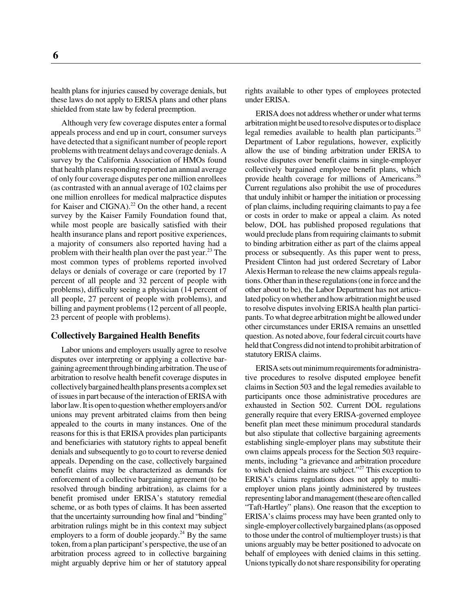health plans for injuries caused by coverage denials, but these laws do not apply to ERISA plans and other plans shielded from state law by federal preemption.

Although very few coverage disputes enter a formal appeals process and end up in court, consumer surveys have detected that a significant number of people report problems with treatment delays and coverage denials. A survey by the California Association of HMOs found that health plans responding reported an annual average of only four coverage disputes per one million enrollees (as contrasted with an annual average of 102 claims per one million enrollees for medical malpractice disputes for Kaiser and CIGNA).<sup>22</sup> On the other hand, a recent survey by the Kaiser Family Foundation found that, while most people are basically satisfied with their health insurance plans and report positive experiences, a majority of consumers also reported having had a problem with their health plan over the past year.23 The most common types of problems reported involved delays or denials of coverage or care (reported by 17 percent of all people and 32 percent of people with problems), difficulty seeing a physician (14 percent of all people, 27 percent of people with problems), and billing and payment problems (12 percent of all people, 23 percent of people with problems).

### **Collectively Bargained Health Benefits**

Labor unions and employers usually agree to resolve disputes over interpreting or applying a collective bargaining agreement through binding arbitration. The use of arbitration to resolve health benefit coverage disputes in collectively bargained health plans presents a complex set of issues in part because of the interaction of ERISA with labor law. It is open to question whether employers and/or unions may prevent arbitrated claims from then being appealed to the courts in many instances. One of the reasons for this is that ERISA provides plan participants and beneficiaries with statutory rights to appeal benefit denials and subsequently to go to court to reverse denied appeals. Depending on the case, collectively bargained benefit claims may be characterized as demands for enforcement of a collective bargaining agreement (to be resolved through binding arbitration), as claims for a benefit promised under ERISA's statutory remedial scheme, or as both types of claims. It has been asserted that the uncertainty surrounding how final and "binding" arbitration rulings might be in this context may subject employers to a form of double jeopardy.<sup>24</sup> By the same token, from a plan participant's perspective, the use of an arbitration process agreed to in collective bargaining might arguably deprive him or her of statutory appeal

rights available to other types of employees protected under ERISA.

ERISA does not address whether or under what terms arbitration might be used to resolve disputes or to displace legal remedies available to health plan participants.<sup>25</sup> Department of Labor regulations, however, explicitly allow the use of binding arbitration under ERISA to resolve disputes over benefit claims in single-employer collectively bargained employee benefit plans, which provide health coverage for millions of Americans.<sup>26</sup> Current regulations also prohibit the use of procedures that unduly inhibit or hamper the initiation or processing of plan claims, including requiring claimants to pay a fee or costs in order to make or appeal a claim. As noted below, DOL has published proposed regulations that would preclude plans from requiring claimants to submit to binding arbitration either as part of the claims appeal process or subsequently. As this paper went to press, President Clinton had just ordered Secretary of Labor Alexis Herman to release the new claims appeals regulations. Other than in these regulations (one in force and the other about to be), the Labor Department has not articulated policy on whether and how arbitration might be used to resolve disputes involving ERISA health plan participants. To what degree arbitration might be allowed under other circumstances under ERISA remains an unsettled question. As noted above, four federal circuit courts have held that Congress did not intend to prohibit arbitration of statutory ERISA claims.

ERISA sets out minimum requirements for administrative procedures to resolve disputed employee benefit claims in Section 503 and the legal remedies available to participants once those administrative procedures are exhausted in Section 502. Current DOL regulations generally require that every ERISA-governed employee benefit plan meet these minimum procedural standards but also stipulate that collective bargaining agreements establishing single-employer plans may substitute their own claims appeals process for the Section 503 requirements, including "a grievance and arbitration procedure to which denied claims are subject."<sup>27</sup> This exception to ERISA's claims regulations does not apply to multiemployer union plans jointly administered by trustees representing labor and management (these are often called "Taft-Hartley" plans). One reason that the exception to ERISA's claims process may have been granted only to single-employer collectively bargained plans (as opposed to those under the control of multiemployer trusts) is that unions arguably may be better positioned to advocate on behalf of employees with denied claims in this setting. Unions typically do not share responsibility for operating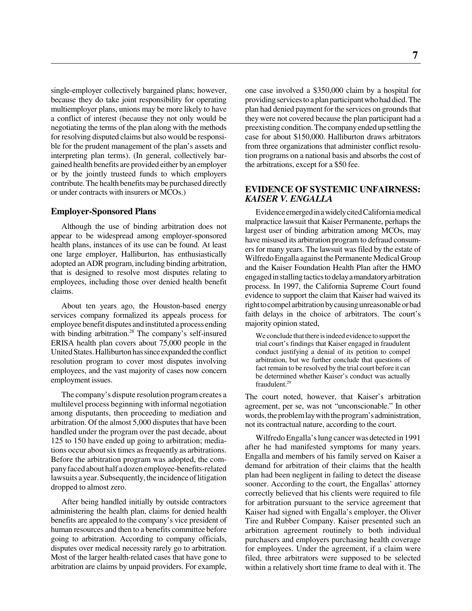single-employer collectively bargained plans; however, because they do take joint responsibility for operating multiemployer plans, unions may be more likely to have a conflict of interest (because they not only would be negotiating the terms of the plan along with the methods for resolving disputed claims but also would be responsible for the prudent management of the plan's assets and interpreting plan terms). (In general, collectively bargained health benefits are provided either by an employer or by the jointly trusteed funds to which employers contribute. The health benefits may be purchased directly or under contracts with insurers or MCOs.)

### **Employer-Sponsored Plans**

Although the use of binding arbitration does not appear to be widespread among employer-sponsored health plans, instances of its use can be found. At least one large employer, Halliburton, has enthusiastically adopted an ADR program, including binding arbitration, that is designed to resolve most disputes relating to employees, including those over denied health benefit claims.

About ten years ago, the Houston-based energy services company formalized its appeals process for employee benefit disputes and instituted a process ending with binding arbitration.<sup>28</sup> The company's self-insured ERISA health plan covers about 75,000 people in the United States. Halliburton has since expanded the conflict resolution program to cover most disputes involving employees, and the vast majority of cases now concern employment issues.

The company's dispute resolution program creates a multilevel process beginning with informal negotiation among disputants, then proceeding to mediation and arbitration. Of the almost 5,000 disputes that have been handled under the program over the past decade, about 125 to 150 have ended up going to arbitration; mediations occur about six times as frequently as arbitrations. Before the arbitration program was adopted, the company faced about half a dozen employee-benefits-related lawsuits a year. Subsequently, the incidence of litigation dropped to almost zero.

After being handled initially by outside contractors administering the health plan, claims for denied health benefits are appealed to the company's vice president of human resources and then to a benefits committee before going to arbitration. According to company officials, disputes over medical necessity rarely go to arbitration. Most of the larger health-related cases that have gone to arbitration are claims by unpaid providers. For example,

one case involved a \$350,000 claim by a hospital for providing services to a plan participant who had died. The plan had denied payment for the services on grounds that they were not covered because the plan participant had a preexisting condition. The company ended up settling the case for about \$150,000. Halliburton draws arbitrators from three organizations that administer conflict resolution programs on a national basis and absorbs the cost of the arbitrations, except for a \$50 fee.

## **EVIDENCE OF SYSTEMIC UNFAIRNESS:** *KAISER V. ENGALLA*

Evidence emerged in a widely cited California medical malpractice lawsuit that Kaiser Permanente, perhaps the largest user of binding arbitration among MCOs, may have misused its arbitration program to defraud consumers for many years. The lawsuit was filed by the estate of Wilfredo Engalla against the Permanente Medical Group and the Kaiser Foundation Health Plan after the HMO engaged in stalling tactics to delay a mandatory arbitration process. In 1997, the California Supreme Court found evidence to support the claim that Kaiser had waived its right to compel arbitration by causing unreasonable or bad faith delays in the choice of arbitrators. The court's majority opinion stated,

We conclude that there is indeed evidence to support the trial court's findings that Kaiser engaged in fraudulent conduct justifying a denial of its petition to compel arbitration, but we further conclude that questions of fact remain to be resolved by the trial court before it can be determined whether Kaiser's conduct was actually fraudulent.29

The court noted, however, that Kaiser's arbitration agreement, per se, was not "unconscionable." In other words, the problem lay with the program's administration, not its contractual nature, according to the court.

Wilfredo Engalla's lung cancer was detected in 1991 after he had manifested symptoms for many years. Engalla and members of his family served on Kaiser a demand for arbitration of their claims that the health plan had been negligent in failing to detect the disease sooner. According to the court, the Engallas' attorney correctly believed that his clients were required to file for arbitration pursuant to the service agreement that Kaiser had signed with Engalla's employer, the Oliver Tire and Rubber Company. Kaiser presented such an arbitration agreement routinely to both individual purchasers and employers purchasing health coverage for employees. Under the agreement, if a claim were filed, three arbitrators were supposed to be selected within a relatively short time frame to deal with it. The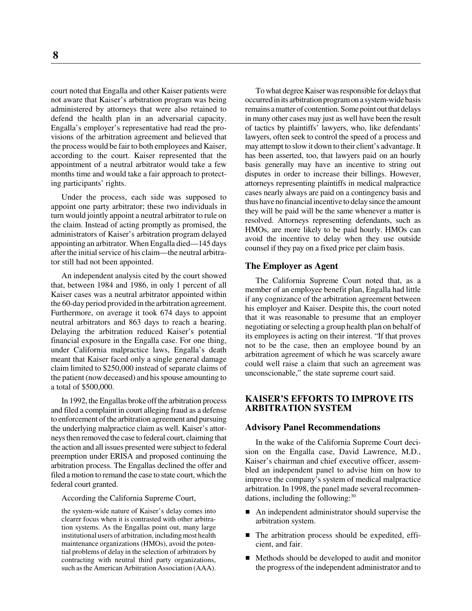court noted that Engalla and other Kaiser patients were not aware that Kaiser's arbitration program was being administered by attorneys that were also retained to defend the health plan in an adversarial capacity. Engalla's employer's representative had read the provisions of the arbitration agreement and believed that the process would be fair to both employees and Kaiser, according to the court. Kaiser represented that the appointment of a neutral arbitrator would take a few months time and would take a fair approach to protecting participants' rights.

Under the process, each side was supposed to appoint one party arbitrator; these two individuals in turn would jointly appoint a neutral arbitrator to rule on the claim. Instead of acting promptly as promised, the administrators of Kaiser's arbitration program delayed appointing an arbitrator. When Engalla died—145 days after the initial service of his claim—the neutral arbitrator still had not been appointed.

An independent analysis cited by the court showed that, between 1984 and 1986, in only 1 percent of all Kaiser cases was a neutral arbitrator appointed within the 60-day period provided in the arbitration agreement. Furthermore, on average it took 674 days to appoint neutral arbitrators and 863 days to reach a hearing. Delaying the arbitration reduced Kaiser's potential financial exposure in the Engalla case. For one thing, under California malpractice laws, Engalla's death meant that Kaiser faced only a single general damage claim limited to \$250,000 instead of separate claims of the patient (now deceased) and his spouse amounting to a total of \$500,000.

In 1992, the Engallas broke off the arbitration process and filed a complaint in court alleging fraud as a defense to enforcement of the arbitration agreement and pursuing the underlying malpractice claim as well. Kaiser's attorneys then removed the case to federal court, claiming that the action and all issues presented were subject to federal preemption under ERISA and proposed continuing the arbitration process. The Engallas declined the offer and filed a motion to remand the case to state court, which the federal court granted.

According the California Supreme Court,

the system-wide nature of Kaiser's delay comes into clearer focus when it is contrasted with other arbitration systems. As the Engallas point out, many large institutional users of arbitration, including most health maintenance organizations (HMOs), avoid the potential problems of delay in the selection of arbitrators by contracting with neutral third party organizations, such as the American Arbitration Association (AAA).

To what degree Kaiser was responsible for delays that occurred in its arbitration program on a system-wide basis remains a matter of contention. Some point out that delays in many other cases may just as well have been the result of tactics by plaintiffs' lawyers, who, like defendants' lawyers, often seek to control the speed of a process and may attempt to slow it down to their client's advantage. It has been asserted, too, that lawyers paid on an hourly basis generally may have an incentive to string out disputes in order to increase their billings. However, attorneys representing plaintiffs in medical malpractice cases nearly always are paid on a contingency basis and thus have no financial incentive to delay since the amount they will be paid will be the same whenever a matter is resolved. Attorneys representing defendants, such as HMOs, are more likely to be paid hourly. HMOs can avoid the incentive to delay when they use outside counsel if they pay on a fixed price per claim basis.

### **The Employer as Agent**

The California Supreme Court noted that, as a member of an employee benefit plan, Engalla had little if any cognizance of the arbitration agreement between his employer and Kaiser. Despite this, the court noted that it was reasonable to presume that an employer negotiating or selecting a group health plan on behalf of its employees is acting on their interest. "If that proves not to be the case, then an employee bound by an arbitration agreement of which he was scarcely aware could well raise a claim that such an agreement was unconscionable," the state supreme court said.

# **KAISER'S EFFORTS TO IMPROVE ITS ARBITRATION SYSTEM**

#### **Advisory Panel Recommendations**

In the wake of the California Supreme Court decision on the Engalla case, David Lawrence, M.D., Kaiser's chairman and chief executive officer, assembled an independent panel to advise him on how to improve the company's system of medical malpractice arbitration. In 1998, the panel made several recommendations, including the following: $30$ 

- An independent administrator should supervise the arbitration system.
- The arbitration process should be expedited, efficient, and fair.
- Methods should be developed to audit and monitor the progress of the independent administrator and to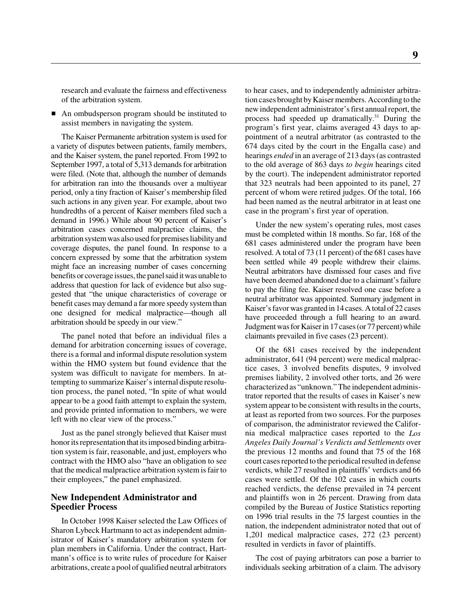research and evaluate the fairness and effectiveness of the arbitration system.

An ombudsperson program should be instituted to assist members in navigating the system.

The Kaiser Permanente arbitration system is used for a variety of disputes between patients, family members, and the Kaiser system, the panel reported. From 1992 to September 1997, a total of 5,313 demands for arbitration were filed. (Note that, although the number of demands for arbitration ran into the thousands over a multiyear period, only a tiny fraction of Kaiser's membership filed such actions in any given year. For example, about two hundredths of a percent of Kaiser members filed such a demand in 1996.) While about 90 percent of Kaiser's arbitration cases concerned malpractice claims, the arbitration system was also used for premises liability and coverage disputes, the panel found. In response to a concern expressed by some that the arbitration system might face an increasing number of cases concerning benefits or coverage issues, the panel said it was unable to address that question for lack of evidence but also suggested that "the unique characteristics of coverage or benefit cases may demand a far more speedy system than one designed for medical malpractice—though all arbitration should be speedy in our view."

The panel noted that before an individual files a demand for arbitration concerning issues of coverage, there is a formal and informal dispute resolution system within the HMO system but found evidence that the system was difficult to navigate for members. In attempting to summarize Kaiser's internal dispute resolution process, the panel noted, "In spite of what would appear to be a good faith attempt to explain the system, and provide printed information to members, we were left with no clear view of the process."

Just as the panel strongly believed that Kaiser must honor its representation that its imposed binding arbitration system is fair, reasonable, and just, employers who contract with the HMO also "have an obligation to see that the medical malpractice arbitration system is fair to their employees," the panel emphasized.

### **New Independent Administrator and Speedier Process**

In October 1998 Kaiser selected the Law Offices of Sharon Lybeck Hartmann to act as independent administrator of Kaiser's mandatory arbitration system for plan members in California. Under the contract, Hartmann's office is to write rules of procedure for Kaiser arbitrations, create a pool of qualified neutral arbitrators

to hear cases, and to independently administer arbitration cases brought by Kaiser members. According to the new independent administrator's first annual report, the process had speeded up dramatically. $31$  During the program's first year, claims averaged 43 days to appointment of a neutral arbitrator (as contrasted to the 674 days cited by the court in the Engalla case) and hearings *ended* in an average of 213 days (as contrasted to the old average of 863 days *to begin* hearings cited by the court). The independent administrator reported that 323 neutrals had been appointed to its panel, 27 percent of whom were retired judges. Of the total, 166 had been named as the neutral arbitrator in at least one case in the program's first year of operation.

Under the new system's operating rules, most cases must be completed within 18 months. So far, 168 of the 681 cases administered under the program have been resolved. A total of 73 (11 percent) of the 681 cases have been settled while 49 people withdrew their claims. Neutral arbitrators have dismissed four cases and five have been deemed abandoned due to a claimant's failure to pay the filing fee. Kaiser resolved one case before a neutral arbitrator was appointed. Summary judgment in Kaiser's favor was granted in 14 cases. A total of 22 cases have proceeded through a full hearing to an award. Judgment was for Kaiser in 17 cases (or 77 percent) while claimants prevailed in five cases (23 percent).

Of the 681 cases received by the independent administrator, 641 (94 percent) were medical malpractice cases, 3 involved benefits disputes, 9 involved premises liability, 2 involved other torts, and 26 were characterized as "unknown." The independent administrator reported that the results of cases in Kaiser's new system appear to be consistent with results in the courts, at least as reported from two sources. For the purposes of comparison, the administrator reviewed the California medical malpractice cases reported to the *Los Angeles Daily Journal's Verdicts and Settlements* over the previous 12 months and found that 75 of the 168 court cases reported to the periodical resulted in defense verdicts, while 27 resulted in plaintiffs' verdicts and 66 cases were settled. Of the 102 cases in which courts reached verdicts, the defense prevailed in 74 percent and plaintiffs won in 26 percent. Drawing from data compiled by the Bureau of Justice Statistics reporting on 1996 trial results in the 75 largest counties in the nation, the independent administrator noted that out of 1,201 medical malpractice cases, 272 (23 percent) resulted in verdicts in favor of plaintiffs.

The cost of paying arbitrators can pose a barrier to individuals seeking arbitration of a claim. The advisory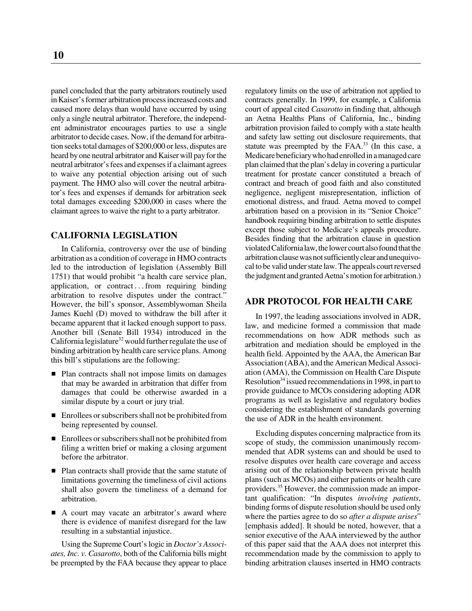panel concluded that the party arbitrators routinely used in Kaiser's former arbitration process increased costs and caused more delays than would have occurred by using only a single neutral arbitrator. Therefore, the independent administrator encourages parties to use a single arbitrator to decide cases. Now, if the demand for arbitration seeks total damages of \$200,000 or less, disputes are heard by one neutral arbitrator and Kaiser will pay for the neutral arbitrator's fees and expenses if a claimant agrees to waive any potential objection arising out of such payment. The HMO also will cover the neutral arbitrator's fees and expenses if demands for arbitration seek total damages exceeding \$200,000 in cases where the claimant agrees to waive the right to a party arbitrator.

# **CALIFORNIA LEGISLATION**

In California, controversy over the use of binding arbitration as a condition of coverage in HMO contracts led to the introduction of legislation (Assembly Bill 1751) that would prohibit "a health care service plan, application, or contract . . . from requiring binding arbitration to resolve disputes under the contract." However, the bill's sponsor, Assemblywoman Sheila James Kuehl (D) moved to withdraw the bill after it became apparent that it lacked enough support to pass. Another bill (Senate Bill 1934) introduced in the California legislature<sup>32</sup> would further regulate the use of binding arbitration by health care service plans. Among this bill's stipulations are the following:

- Plan contracts shall not impose limits on damages that may be awarded in arbitration that differ from damages that could be otherwise awarded in a similar dispute by a court or jury trial.
- **Enrollees or subscribers shall not be prohibited from** being represented by counsel.
- **Enrollees or subscribers shall not be prohibited from** filing a written brief or making a closing argument before the arbitrator.
- Plan contracts shall provide that the same statute of limitations governing the timeliness of civil actions shall also govern the timeliness of a demand for arbitration.
- A court may vacate an arbitrator's award where there is evidence of manifest disregard for the law resulting in a substantial injustice.

Using the Supreme Court's logic in *Doctor's Associates, Inc. v. Casarotto*, both of the California bills might be preempted by the FAA because they appear to place regulatory limits on the use of arbitration not applied to contracts generally. In 1999, for example, a California court of appeal cited *Casarotto* in finding that, although an Aetna Healths Plans of California, Inc., binding arbitration provision failed to comply with a state health and safety law setting out disclosure requirements, that statute was preempted by the  $FAA<sup>33</sup>$  (In this case, a Medicare beneficiary who had enrolled in a managed care plan claimed that the plan's delay in covering a particular treatment for prostate cancer constituted a breach of contract and breach of good faith and also constituted negligence, negligent misrepresentation, infliction of emotional distress, and fraud. Aetna moved to compel arbitration based on a provision in its "Senior Choice" handbook requiring binding arbitration to settle disputes except those subject to Medicare's appeals procedure. Besides finding that the arbitration clause in question violated California law, the lower court also found that the arbitration clause was not sufficiently clear and unequivocal to be valid under state law. The appeals court reversed the judgment and granted Aetna's motion for arbitration.)

# **ADR PROTOCOL FOR HEALTH CARE**

In 1997, the leading associations involved in ADR, law, and medicine formed a commission that made recommendations on how ADR methods such as arbitration and mediation should be employed in the health field. Appointed by the AAA, the American Bar Association (ABA), and the American Medical Association (AMA), the Commission on Health Care Dispute Resolution<sup>34</sup> issued recommendations in 1998, in part to provide guidance to MCOs considering adopting ADR programs as well as legislative and regulatory bodies considering the establishment of standards governing the use of ADR in the health environment.

Excluding disputes concerning malpractice from its scope of study, the commission unanimously recommended that ADR systems can and should be used to resolve disputes over health care coverage and access arising out of the relationship between private health plans (such as MCOs) and either patients or health care providers.<sup>35</sup> However, the commission made an important qualification: "In disputes *involving patients*, binding forms of dispute resolution should be used only where the parties agree to do so *after a dispute arises*" [emphasis added]. It should be noted, however, that a senior executive of the AAA interviewed by the author of this paper said that the AAA does not interpret this recommendation made by the commission to apply to binding arbitration clauses inserted in HMO contracts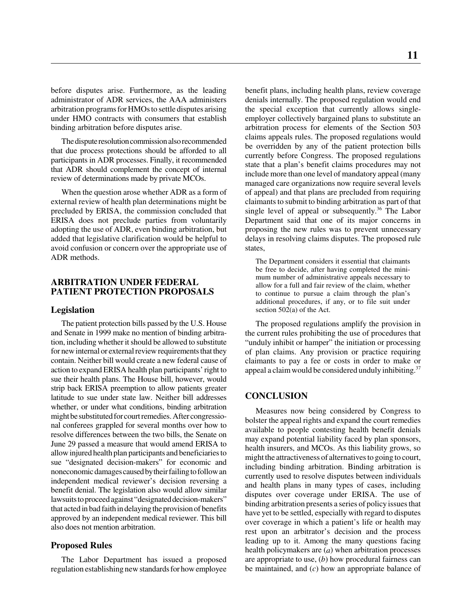before disputes arise. Furthermore, as the leading administrator of ADR services, the AAA administers arbitration programs for HMOs to settle disputes arising under HMO contracts with consumers that establish binding arbitration before disputes arise.

The dispute resolution commission also recommended that due process protections should be afforded to all participants in ADR processes. Finally, it recommended that ADR should complement the concept of internal review of determinations made by private MCOs.

When the question arose whether ADR as a form of external review of health plan determinations might be precluded by ERISA, the commission concluded that ERISA does not preclude parties from voluntarily adopting the use of ADR, even binding arbitration, but added that legislative clarification would be helpful to avoid confusion or concern over the appropriate use of ADR methods.

# **ARBITRATION UNDER FEDERAL PATIENT PROTECTION PROPOSALS**

### **Legislation**

The patient protection bills passed by the U.S. House and Senate in 1999 make no mention of binding arbitration, including whether it should be allowed to substitute for new internal or external review requirements that they contain. Neither bill would create a new federal cause of action to expand ERISA health plan participants' right to sue their health plans. The House bill, however, would strip back ERISA preemption to allow patients greater latitude to sue under state law. Neither bill addresses whether, or under what conditions, binding arbitration might be substituted for court remedies. After congressional conferees grappled for several months over how to resolve differences between the two bills, the Senate on June 29 passed a measure that would amend ERISA to allow injured health plan participants and beneficiaries to sue "designated decision-makers" for economic and noneconomic damages caused by their failing to follow an independent medical reviewer's decision reversing a benefit denial. The legislation also would allow similar lawsuits to proceed against "designated decision-makers" that acted in bad faith in delaying the provision of benefits approved by an independent medical reviewer. This bill also does not mention arbitration.

### **Proposed Rules**

The Labor Department has issued a proposed regulation establishing new standards for how employee benefit plans, including health plans, review coverage denials internally. The proposed regulation would end the special exception that currently allows singleemployer collectively bargained plans to substitute an arbitration process for elements of the Section 503 claims appeals rules. The proposed regulations would be overridden by any of the patient protection bills currently before Congress. The proposed regulations state that a plan's benefit claims procedures may not include more than one level of mandatory appeal (many managed care organizations now require several levels of appeal) and that plans are precluded from requiring claimants to submit to binding arbitration as part of that single level of appeal or subsequently.<sup>36</sup> The Labor Department said that one of its major concerns in proposing the new rules was to prevent unnecessary delays in resolving claims disputes. The proposed rule states,

The Department considers it essential that claimants be free to decide, after having completed the minimum number of administrative appeals necessary to allow for a full and fair review of the claim, whether to continue to pursue a claim through the plan's additional procedures, if any, or to file suit under section 502(a) of the Act.

The proposed regulations amplify the provision in the current rules prohibiting the use of procedures that "unduly inhibit or hamper" the initiation or processing of plan claims. Any provision or practice requiring claimants to pay a fee or costs in order to make or appeal a claim would be considered unduly inhibiting.<sup>37</sup>

# **CONCLUSION**

Measures now being considered by Congress to bolster the appeal rights and expand the court remedies available to people contesting health benefit denials may expand potential liability faced by plan sponsors, health insurers, and MCOs. As this liability grows, so might the attractiveness of alternatives to going to court, including binding arbitration. Binding arbitration is currently used to resolve disputes between individuals and health plans in many types of cases, including disputes over coverage under ERISA. The use of binding arbitration presents a series of policy issues that have yet to be settled, especially with regard to disputes over coverage in which a patient's life or health may rest upon an arbitrator's decision and the process leading up to it. Among the many questions facing health policymakers are (*a*) when arbitration processes are appropriate to use, (*b*) how procedural fairness can be maintained, and (*c*) how an appropriate balance of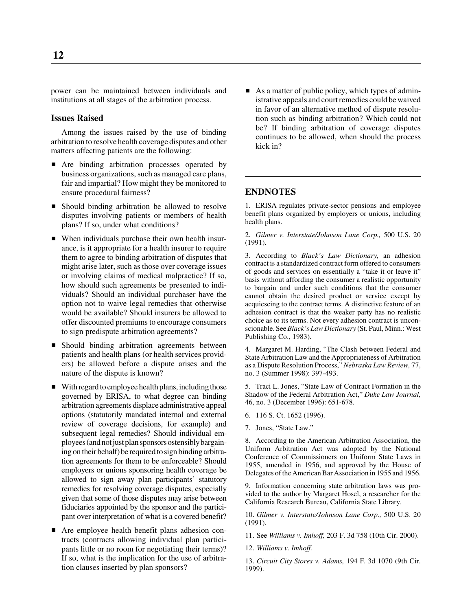power can be maintained between individuals and institutions at all stages of the arbitration process.

### **Issues Raised**

Among the issues raised by the use of binding arbitration to resolve health coverage disputes and other matters affecting patients are the following:

- Are binding arbitration processes operated by business organizations, such as managed care plans, fair and impartial? How might they be monitored to ensure procedural fairness?
- Should binding arbitration be allowed to resolve disputes involving patients or members of health plans? If so, under what conditions?
- When individuals purchase their own health insurance, is it appropriate for a health insurer to require them to agree to binding arbitration of disputes that might arise later, such as those over coverage issues or involving claims of medical malpractice? If so, how should such agreements be presented to individuals? Should an individual purchaser have the option not to waive legal remedies that otherwise would be available? Should insurers be allowed to offer discounted premiums to encourage consumers to sign predispute arbitration agreements?
- **Should binding arbitration agreements between** patients and health plans (or health services providers) be allowed before a dispute arises and the nature of the dispute is known?
- With regard to employee health plans, including those governed by ERISA, to what degree can binding arbitration agreements displace administrative appeal options (statutorily mandated internal and external review of coverage decisions, for example) and subsequent legal remedies? Should individual employees (and not just plan sponsors ostensibly bargaining on their behalf) be required to sign binding arbitration agreements for them to be enforceable? Should employers or unions sponsoring health coverage be allowed to sign away plan participants' statutory remedies for resolving coverage disputes, especially given that some of those disputes may arise between fiduciaries appointed by the sponsor and the participant over interpretation of what is a covered benefit?
- Are employee health benefit plans adhesion contracts (contracts allowing individual plan participants little or no room for negotiating their terms)? If so, what is the implication for the use of arbitration clauses inserted by plan sponsors?

 $\blacksquare$  As a matter of public policy, which types of administrative appeals and court remedies could be waived in favor of an alternative method of dispute resolution such as binding arbitration? Which could not be? If binding arbitration of coverage disputes continues to be allowed, when should the process kick in?

# **ENDNOTES**

1. ERISA regulates private-sector pensions and employee benefit plans organized by employers or unions, including health plans.

2. *Gilmer v. Interstate/Johnson Lane Corp.,* 500 U.S. 20 (1991).

3. According to *Black's Law Dictionary,* an adhesion contract is a standardized contract form offered to consumers of goods and services on essentially a "take it or leave it" basis without affording the consumer a realistic opportunity to bargain and under such conditions that the consumer cannot obtain the desired product or service except by acquiescing to the contract terms. A distinctive feature of an adhesion contract is that the weaker party has no realistic choice as to its terms. Not every adhesion contract is unconscionable. See *Black's Law Dictionary* (St. Paul, Minn.: West Publishing Co., 1983).

4. Margaret M. Harding, "The Clash between Federal and State Arbitration Law and the Appropriateness of Arbitration as a Dispute Resolution Process," *Nebraska Law Review,* 77, no. 3 (Summer 1998): 397-493.

5. Traci L. Jones, "State Law of Contract Formation in the Shadow of the Federal Arbitration Act," *Duke Law Journal,* 46, no. 3 (December 1996): 651-678.

- 6. 116 S. Ct. 1652 (1996).
- 7. Jones, "State Law."

8. According to the American Arbitration Association, the Uniform Arbitration Act was adopted by the National Conference of Commissioners on Uniform State Laws in 1955, amended in 1956, and approved by the House of Delegates of the American Bar Association in 1955 and 1956.

9. Information concerning state arbitration laws was provided to the author by Margaret Hosel, a researcher for the California Research Bureau, California State Library.

10. *Gilmer v. Interstate/Johnson Lane Corp.,* 500 U.S. 20 (1991).

11. See *Williams v. Imhoff,* 203 F. 3d 758 (10th Cir. 2000).

12. *Williams v. Imhoff.*

13. *Circuit City Stores v. Adams,* 194 F. 3d 1070 (9th Cir. 1999).